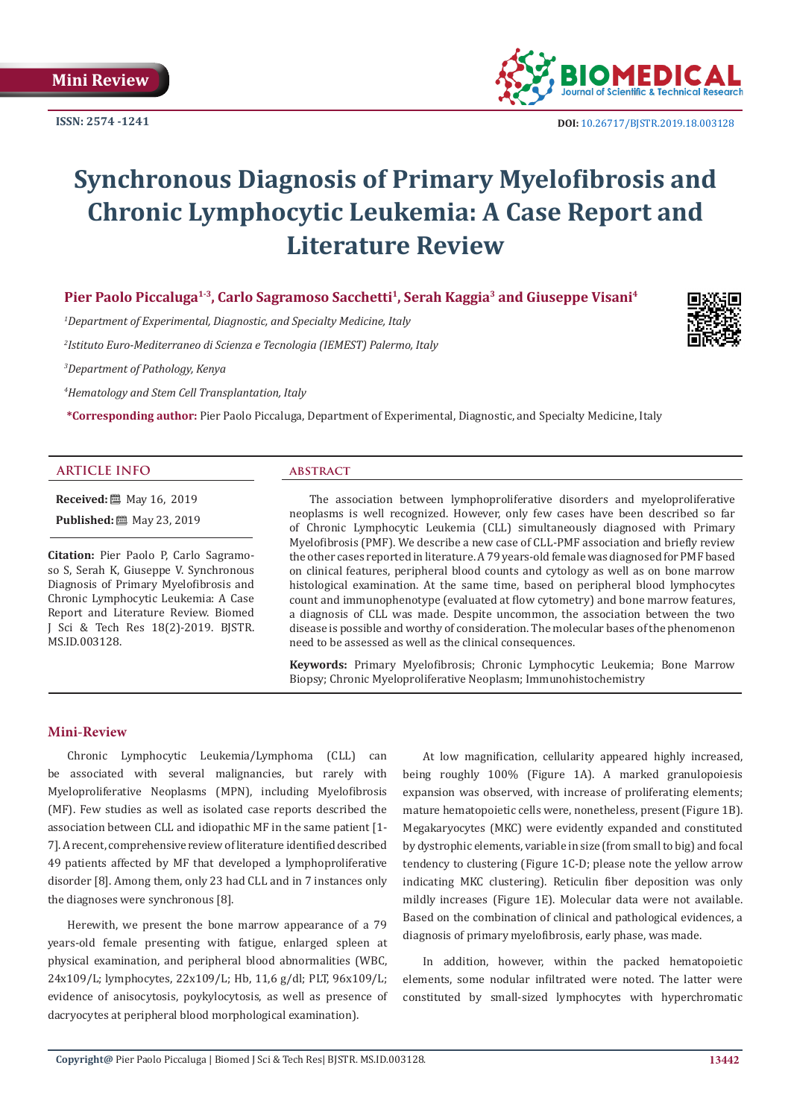

# **Synchronous Diagnosis of Primary Myelofibrosis and Chronic Lymphocytic Leukemia: A Case Report and Literature Review**

Pier Paolo Piccaluga<sup>1-3</sup>, Carlo Sagramoso Sacchetti<sup>1</sup>, Serah Kaggia<sup>3</sup> and Giuseppe Visani<sup>4</sup>

*1 Department of Experimental, Diagnostic, and Specialty Medicine, Italy*

*2 Istituto Euro-Mediterraneo di Scienza e Tecnologia (IEMEST) Palermo, Italy*

*3 Department of Pathology, Kenya*

*4 Hematology and Stem Cell Transplantation, Italy*

**\*Corresponding author:** Pier Paolo Piccaluga, Department of Experimental, Diagnostic, and Specialty Medicine, Italy

# **ARTICLE INFO abstract**

**Received:** ■ May 16, 2019

**Published:** 圖 May 23, 2019

**Citation:** Pier Paolo P, Carlo Sagramoso S, Serah K, Giuseppe V. Synchronous Diagnosis of Primary Myelofibrosis and Chronic Lymphocytic Leukemia: A Case Report and Literature Review. Biomed J Sci & Tech Res 18(2)-2019. BJSTR. MS.ID.003128.

The association between lymphoproliferative disorders and myeloproliferative neoplasms is well recognized. However, only few cases have been described so far of Chronic Lymphocytic Leukemia (CLL) simultaneously diagnosed with Primary Myelofibrosis (PMF). We describe a new case of CLL-PMF association and briefly review the other cases reported in literature. A 79 years-old female was diagnosed for PMF based on clinical features, peripheral blood counts and cytology as well as on bone marrow histological examination. At the same time, based on peripheral blood lymphocytes count and immunophenotype (evaluated at flow cytometry) and bone marrow features, a diagnosis of CLL was made. Despite uncommon, the association between the two disease is possible and worthy of consideration. The molecular bases of the phenomenon need to be assessed as well as the clinical consequences.

**Keywords:** Primary Myelofibrosis; Chronic Lymphocytic Leukemia; Bone Marrow Biopsy; Chronic Myeloproliferative Neoplasm; Immunohistochemistry

# **Mini-Review**

Chronic Lymphocytic Leukemia/Lymphoma (CLL) can be associated with several malignancies, but rarely with Myeloproliferative Neoplasms (MPN), including Myelofibrosis (MF). Few studies as well as isolated case reports described the association between CLL and idiopathic MF in the same patient [1- 7]. A recent, comprehensive review of literature identified described 49 patients affected by MF that developed a lymphoproliferative disorder [8]. Among them, only 23 had CLL and in 7 instances only the diagnoses were synchronous [8].

Herewith, we present the bone marrow appearance of a 79 years-old female presenting with fatigue, enlarged spleen at physical examination, and peripheral blood abnormalities (WBC, 24x109/L; lymphocytes, 22x109/L; Hb, 11,6 g/dl; PLT, 96x109/L; evidence of anisocytosis, poykylocytosis, as well as presence of dacryocytes at peripheral blood morphological examination).

At low magnification, cellularity appeared highly increased, being roughly 100% (Figure 1A). A marked granulopoiesis expansion was observed, with increase of proliferating elements; mature hematopoietic cells were, nonetheless, present (Figure 1B). Megakaryocytes (MKC) were evidently expanded and constituted by dystrophic elements, variable in size (from small to big) and focal tendency to clustering (Figure 1C-D; please note the yellow arrow indicating MKC clustering). Reticulin fiber deposition was only mildly increases (Figure 1E). Molecular data were not available. Based on the combination of clinical and pathological evidences, a diagnosis of primary myelofibrosis, early phase, was made.

In addition, however, within the packed hematopoietic elements, some nodular infiltrated were noted. The latter were constituted by small-sized lymphocytes with hyperchromatic

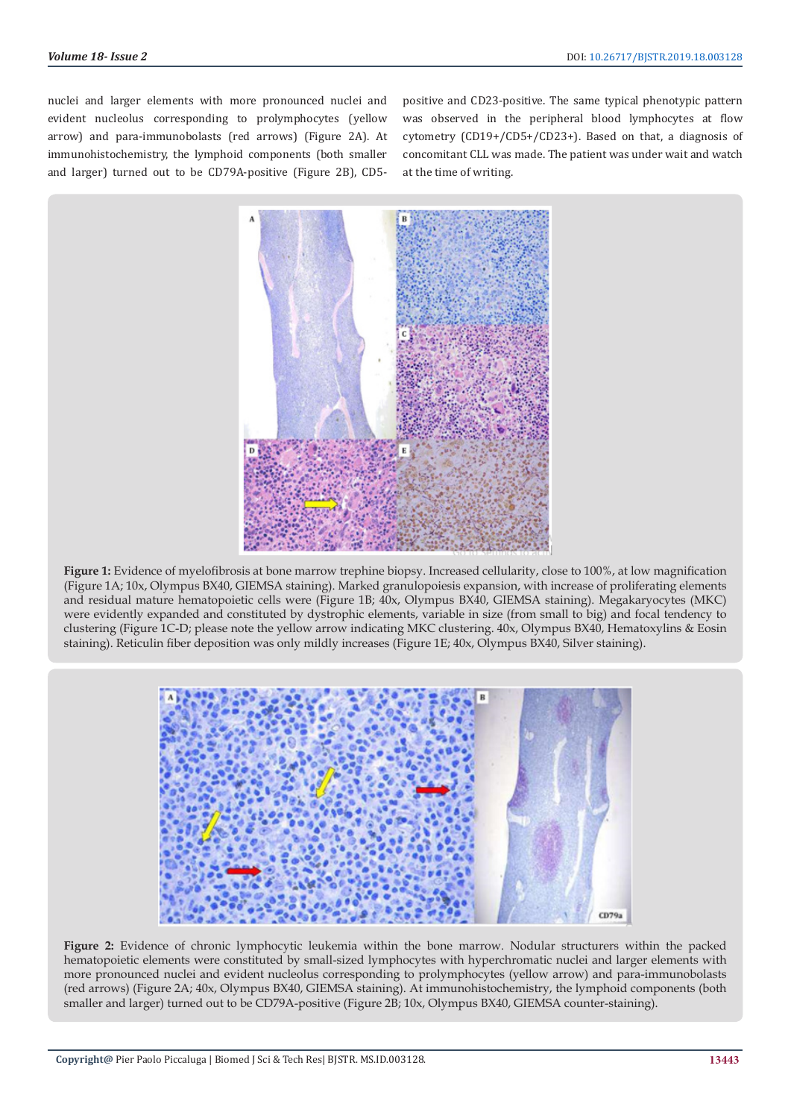nuclei and larger elements with more pronounced nuclei and evident nucleolus corresponding to prolymphocytes (yellow arrow) and para-immunobolasts (red arrows) (Figure 2A). At immunohistochemistry, the lymphoid components (both smaller and larger) turned out to be CD79A-positive (Figure 2B), CD5positive and CD23-positive. The same typical phenotypic pattern was observed in the peripheral blood lymphocytes at flow cytometry (CD19+/CD5+/CD23+). Based on that, a diagnosis of concomitant CLL was made. The patient was under wait and watch at the time of writing.



**Figure 1:** Evidence of myelofibrosis at bone marrow trephine biopsy. Increased cellularity, close to 100%, at low magnification (Figure 1A; 10x, Olympus BX40, GIEMSA staining). Marked granulopoiesis expansion, with increase of proliferating elements and residual mature hematopoietic cells were (Figure 1B; 40x, Olympus BX40, GIEMSA staining). Megakaryocytes (MKC) were evidently expanded and constituted by dystrophic elements, variable in size (from small to big) and focal tendency to clustering (Figure 1C-D; please note the yellow arrow indicating MKC clustering. 40x, Olympus BX40, Hematoxylins & Eosin staining). Reticulin fiber deposition was only mildly increases (Figure 1E; 40x, Olympus BX40, Silver staining).



**Figure 2:** Evidence of chronic lymphocytic leukemia within the bone marrow. Nodular structurers within the packed hematopoietic elements were constituted by small-sized lymphocytes with hyperchromatic nuclei and larger elements with more pronounced nuclei and evident nucleolus corresponding to prolymphocytes (yellow arrow) and para-immunobolasts (red arrows) (Figure 2A; 40x, Olympus BX40, GIEMSA staining). At immunohistochemistry, the lymphoid components (both smaller and larger) turned out to be CD79A-positive (Figure 2B; 10x, Olympus BX40, GIEMSA counter-staining).